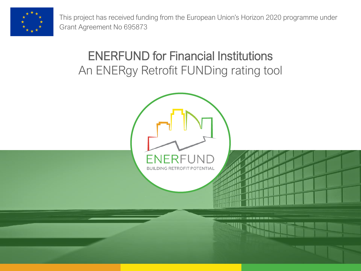

This project has received funding from the European Union's Horizon 2020 programme under Grant Agreement No 695873

#### ENERFUND for Financial Institutions An ENERgy Retrofit FUNDing rating tool

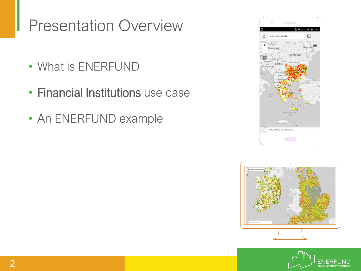#### Presentation Overview

- What is ENERFUND
- Financial Institutions use case
- An ENERFUND example





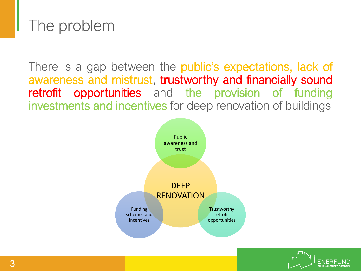#### The problem

There is a gap between the **public's expectations, lack of** awareness and mistrust, trustworthy and financially sound retrofit opportunities and the provision of funding investments and incentives for deep renovation of buildings



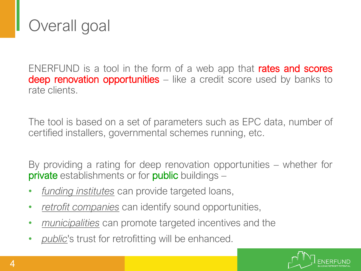

ENERFUND is a tool in the form of a web app that **rates and scores** deep renovation opportunities – like a credit score used by banks to rate clients.

The tool is based on a set of parameters such as EPC data, number of certified installers, governmental schemes running, etc.

By providing a rating for deep renovation opportunities – whether for **private** establishments or for **public** buildings –

- *funding institutes* can provide targeted loans,
- *retrofit companies* can identify sound opportunities,
- *municipalities* can promote targeted incentives and the
- *public*'s trust for retrofitting will be enhanced.

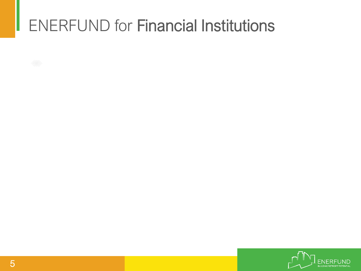# ENERFUND for Financial Institutions

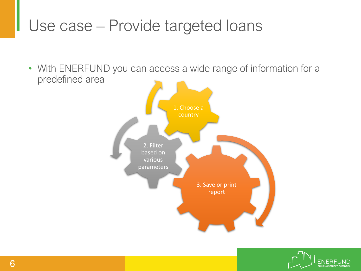#### Use case – Provide targeted loans

• With ENERFUND you can access a wide range of information for a predefined area



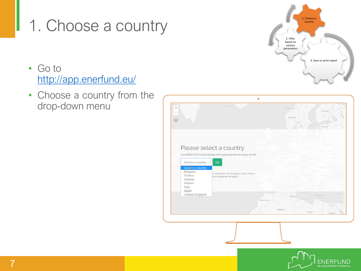### 1. Choose a country

- Go to <http://app.enerfund.eu/>
- Choose a country from the drop-down menu





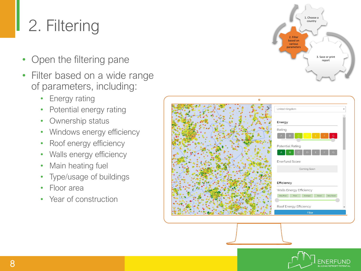# 2. Filtering

- Open the filtering pane
- Filter based on a wide range of parameters, including:
	- Energy rating
	- Potential energy rating
	- Ownership status
	- Windows energy efficiency
	- Roof energy efficiency
	- Walls energy efficiency
	- Main heating fuel
	- Type/usage of buildings
	- Floor area
	- Year of construction



| United Kingdom                                    |
|---------------------------------------------------|
| Energy                                            |
| Rating                                            |
| $\mathsf{G}^{\scriptscriptstyle\top}$             |
| Potential Rating                                  |
| G                                                 |
| <b>Enerfund Score</b>                             |
| Coming Soon                                       |
| Efficiency                                        |
| Walls Energy Efficiency                           |
| Very Poor<br>Very Good<br>Good<br>Poor<br>Average |
|                                                   |
| Roof Energy Efficiency                            |
| Filter                                            |

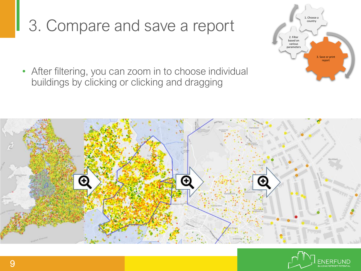# 3. Compare and save a report

• After filtering, you can zoom in to choose individual buildings by clicking or clicking and dragging





3. Save or prin report

1. Choose a country

2. Filter based on various parameters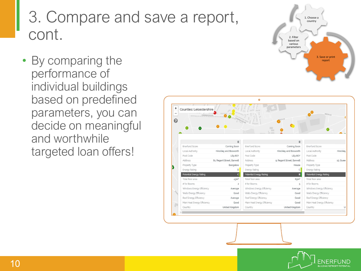### 3. Compare and save a report, cont.

• By comparing the performance of individual buildings based on predefined parameters, you can decide on meaningful and worthwhile targeted loan offers!





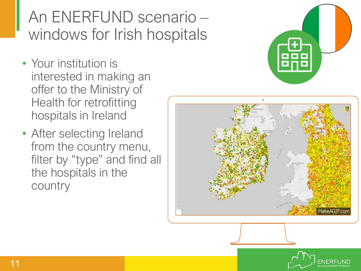## An ENERFUND scenario – windows for Irish hospitals

- Your institution is interested in making an offer to the Ministry of Health for retrofitting hospitals in Ireland
- After selecting Ireland from the country menu, filter by "type" and find all the hospitals in the country





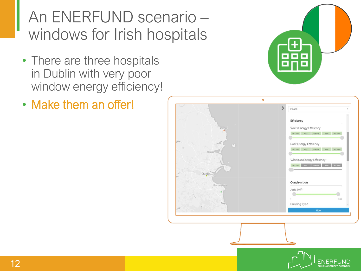### An ENERFUND scenario – windows for Irish hospitals

- There are three hospitals in Dublin with very poor window energy efficiency!
- Make them an offer!



|                                      | Ireland                                             |
|--------------------------------------|-----------------------------------------------------|
|                                      | Efficiency                                          |
| <b>Skerries</b>                      | Walls Energy Efficiency                             |
|                                      | Poor<br>Very Poor.<br>Average<br>Good<br>Very Good  |
| ghlin<br>$\mathcal{L}_{\mathcal{F}}$ | Roof Energy Efficiency                              |
| Swords                               | Very Good<br>Very Poor<br>Poor<br>Good<br>Average   |
|                                      | Windows Energy Efficiency                           |
|                                      | Very Good<br>Very Poor<br>Average<br>Poor 1<br>Good |
| Dublin                               |                                                     |
| Dun Laoghaire                        | Construction                                        |
|                                      | Area (m <sup>2</sup> )                              |
|                                      | 2499<br>÷                                           |
| Bray.                                | <b>Building Type</b>                                |
| <b>ART</b>                           | Filter                                              |